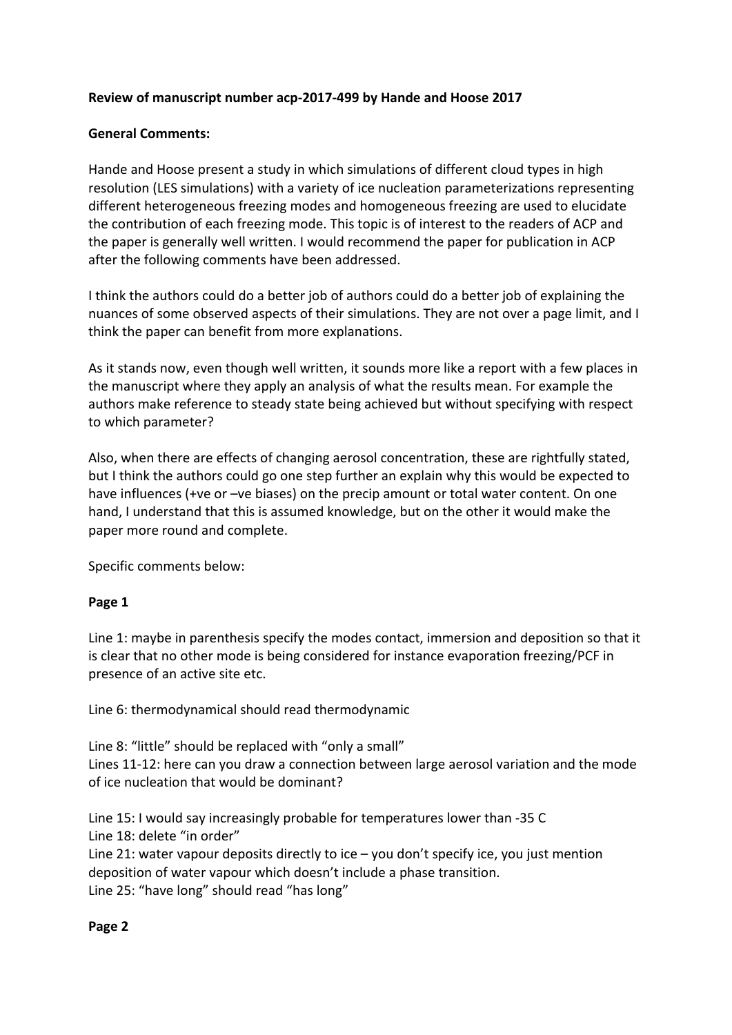### Review of manuscript number acp-2017-499 by Hande and Hoose 2017

### General Comments:

Hande and Hoose present a study in which simulations of different cloud types in high resolution (LES simulations) with a variety of ice nucleation parameterizations representing different heterogeneous freezing modes and homogeneous freezing are used to elucidate the contribution of each freezing mode. This topic is of interest to the readers of ACP and the paper is generally well written. I would recommend the paper for publication in ACP after the following comments have been addressed.

I think the authors could do a better job of authors could do a better job of explaining the nuances of some observed aspects of their simulations. They are not over a page limit, and I think the paper can benefit from more explanations.

As it stands now, even though well written, it sounds more like a report with a few places in the manuscript where they apply an analysis of what the results mean. For example the authors make reference to steady state being achieved but without specifying with respect to which parameter?

Also, when there are effects of changing aerosol concentration, these are rightfully stated, but I think the authors could go one step further an explain why this would be expected to have influences (+ve or  $-$ ve biases) on the precip amount or total water content. On one hand, I understand that this is assumed knowledge, but on the other it would make the paper more round and complete.

Specific comments below:

#### **Page 1**

Line 1: maybe in parenthesis specify the modes contact, immersion and deposition so that it is clear that no other mode is being considered for instance evaporation freezing/PCF in presence of an active site etc.

Line 6: thermodynamical should read thermodynamic

Line 8: "little" should be replaced with "only a small" Lines 11-12: here can you draw a connection between large aerosol variation and the mode of ice nucleation that would be dominant?

Line 15: I would say increasingly probable for temperatures lower than -35 C Line 18: delete "in order"

Line 21: water vapour deposits directly to ice  $-$  you don't specify ice, you just mention deposition of water vapour which doesn't include a phase transition. Line 25: "have long" should read "has long"

#### **Page 2**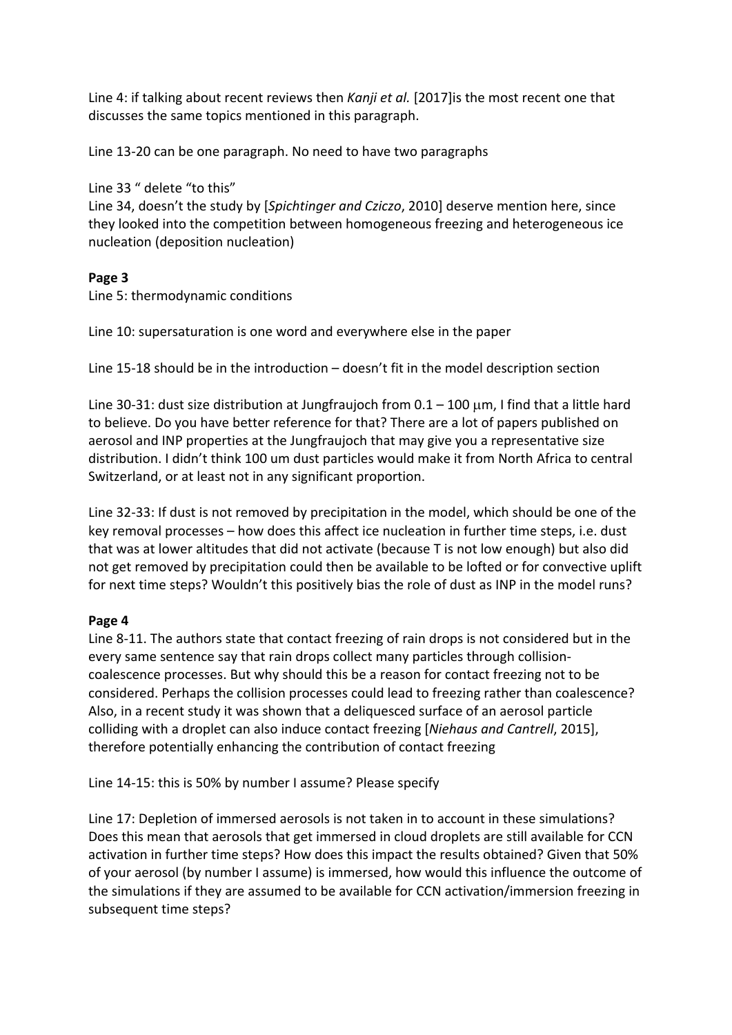Line 4: if talking about recent reviews then *Kanji et al.* [2017] is the most recent one that discusses the same topics mentioned in this paragraph.

Line 13-20 can be one paragraph. No need to have two paragraphs

Line 33 " delete "to this" Line 34, doesn't the study by [*Spichtinger and Cziczo*, 2010] deserve mention here, since they looked into the competition between homogeneous freezing and heterogeneous ice nucleation (deposition nucleation)

## **Page 3**

Line 5: thermodynamic conditions

Line 10: supersaturation is one word and everywhere else in the paper

Line 15-18 should be in the introduction  $-$  doesn't fit in the model description section

Line 30-31: dust size distribution at Jungfraujoch from  $0.1 - 100 \mu m$ , I find that a little hard to believe. Do you have better reference for that? There are a lot of papers published on aerosol and INP properties at the Jungfraujoch that may give you a representative size distribution. I didn't think 100 um dust particles would make it from North Africa to central Switzerland, or at least not in any significant proportion.

Line 32-33: If dust is not removed by precipitation in the model, which should be one of the key removal processes  $-$  how does this affect ice nucleation in further time steps, i.e. dust that was at lower altitudes that did not activate (because T is not low enough) but also did not get removed by precipitation could then be available to be lofted or for convective uplift for next time steps? Wouldn't this positively bias the role of dust as INP in the model runs?

# **Page 4**

Line 8-11. The authors state that contact freezing of rain drops is not considered but in the every same sentence say that rain drops collect many particles through collisioncoalescence processes. But why should this be a reason for contact freezing not to be considered. Perhaps the collision processes could lead to freezing rather than coalescence? Also, in a recent study it was shown that a deliquesced surface of an aerosol particle colliding with a droplet can also induce contact freezing [*Niehaus and Cantrell*, 2015], therefore potentially enhancing the contribution of contact freezing

Line 14-15: this is 50% by number I assume? Please specify

Line 17: Depletion of immersed aerosols is not taken in to account in these simulations? Does this mean that aerosols that get immersed in cloud droplets are still available for CCN activation in further time steps? How does this impact the results obtained? Given that 50% of your aerosol (by number I assume) is immersed, how would this influence the outcome of the simulations if they are assumed to be available for CCN activation/immersion freezing in subsequent time steps?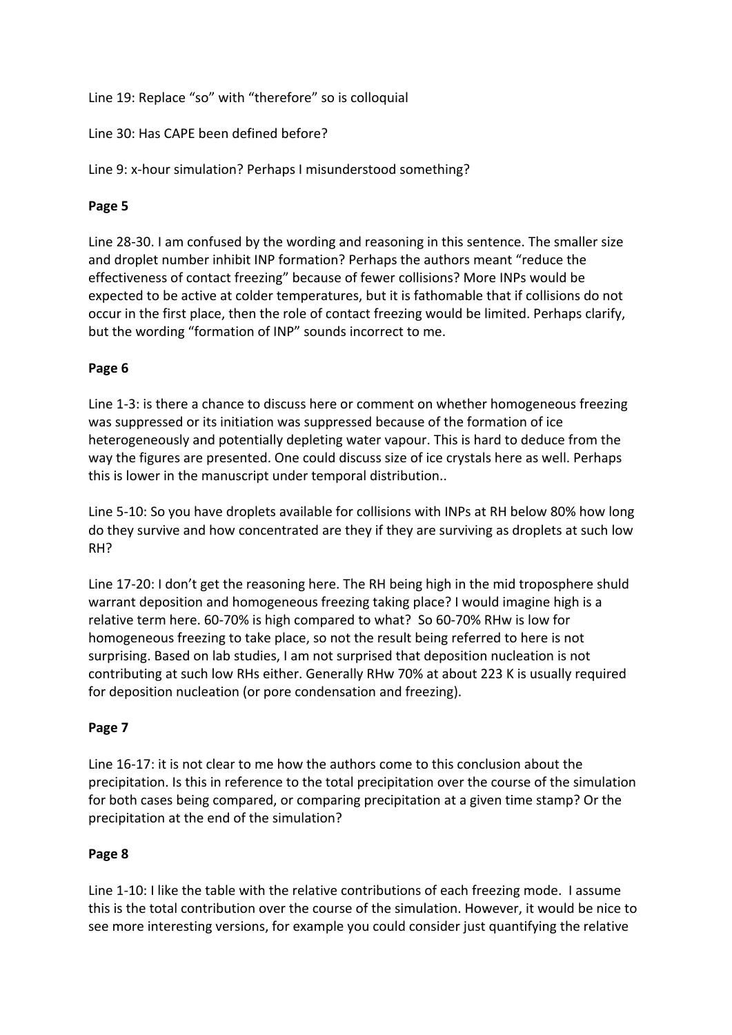Line 19: Replace "so" with "therefore" so is colloquial

Line 30: Has CAPE been defined before?

Line 9: x-hour simulation? Perhaps I misunderstood something?

# **Page 5**

Line 28-30. I am confused by the wording and reasoning in this sentence. The smaller size and droplet number inhibit INP formation? Perhaps the authors meant "reduce the effectiveness of contact freezing" because of fewer collisions? More INPs would be expected to be active at colder temperatures, but it is fathomable that if collisions do not occur in the first place, then the role of contact freezing would be limited. Perhaps clarify, but the wording "formation of INP" sounds incorrect to me.

#### **Page 6**

Line 1-3: is there a chance to discuss here or comment on whether homogeneous freezing was suppressed or its initiation was suppressed because of the formation of ice heterogeneously and potentially depleting water vapour. This is hard to deduce from the way the figures are presented. One could discuss size of ice crystals here as well. Perhaps this is lower in the manuscript under temporal distribution..

Line 5-10: So you have droplets available for collisions with INPs at RH below 80% how long do they survive and how concentrated are they if they are surviving as droplets at such low RH? 

Line 17-20: I don't get the reasoning here. The RH being high in the mid troposphere shuld warrant deposition and homogeneous freezing taking place? I would imagine high is a relative term here. 60-70% is high compared to what? So 60-70% RHw is low for homogeneous freezing to take place, so not the result being referred to here is not surprising. Based on lab studies, I am not surprised that deposition nucleation is not contributing at such low RHs either. Generally RHw 70% at about 223 K is usually required for deposition nucleation (or pore condensation and freezing).

#### **Page 7**

Line 16-17: it is not clear to me how the authors come to this conclusion about the precipitation. Is this in reference to the total precipitation over the course of the simulation for both cases being compared, or comparing precipitation at a given time stamp? Or the precipitation at the end of the simulation?

#### **Page 8**

Line 1-10: I like the table with the relative contributions of each freezing mode. I assume this is the total contribution over the course of the simulation. However, it would be nice to see more interesting versions, for example you could consider just quantifying the relative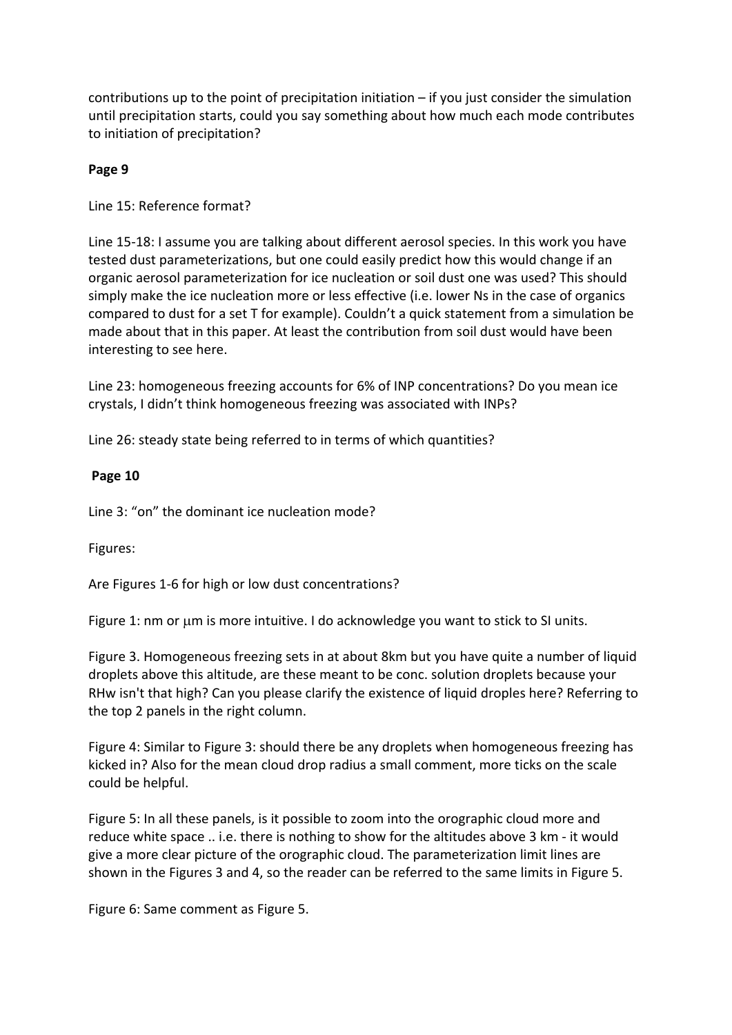contributions up to the point of precipitation initiation  $-$  if you just consider the simulation until precipitation starts, could you say something about how much each mode contributes to initiation of precipitation?

#### **Page 9**

Line 15: Reference format?

Line 15-18: I assume you are talking about different aerosol species. In this work you have tested dust parameterizations, but one could easily predict how this would change if an organic aerosol parameterization for ice nucleation or soil dust one was used? This should simply make the ice nucleation more or less effective (i.e. lower Ns in the case of organics compared to dust for a set T for example). Couldn't a quick statement from a simulation be made about that in this paper. At least the contribution from soil dust would have been interesting to see here.

Line 23: homogeneous freezing accounts for 6% of INP concentrations? Do you mean ice crystals, I didn't think homogeneous freezing was associated with INPs?

Line 26: steady state being referred to in terms of which quantities?

#### **Page 10**

Line 3: "on" the dominant ice nucleation mode?

Figures: 

Are Figures 1-6 for high or low dust concentrations?

Figure 1: nm or  $\mu$ m is more intuitive. I do acknowledge you want to stick to SI units.

Figure 3. Homogeneous freezing sets in at about 8km but you have quite a number of liquid droplets above this altitude, are these meant to be conc. solution droplets because your RHw isn't that high? Can you please clarify the existence of liquid droples here? Referring to the top 2 panels in the right column.

Figure 4: Similar to Figure 3: should there be any droplets when homogeneous freezing has kicked in? Also for the mean cloud drop radius a small comment, more ticks on the scale could be helpful.

Figure 5: In all these panels, is it possible to zoom into the orographic cloud more and reduce white space .. i.e. there is nothing to show for the altitudes above 3 km - it would give a more clear picture of the orographic cloud. The parameterization limit lines are shown in the Figures 3 and 4, so the reader can be referred to the same limits in Figure 5.

Figure 6: Same comment as Figure 5.